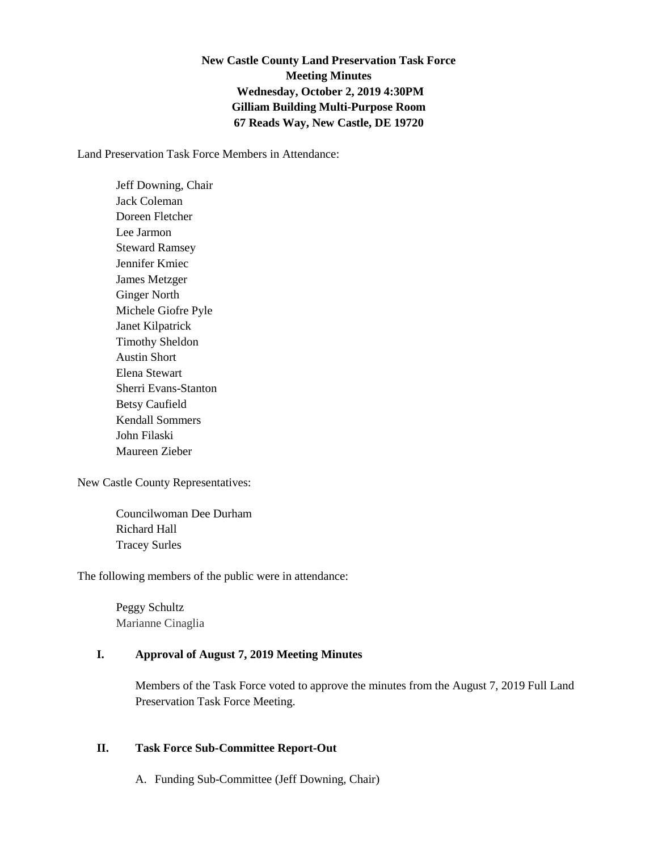## **New Castle County Land Preservation Task Force Meeting Minutes Wednesday, October 2, 2019 4:30PM Gilliam Building Multi-Purpose Room 67 Reads Way, New Castle, DE 19720**

Land Preservation Task Force Members in Attendance:

Jeff Downing, Chair Jack Coleman Doreen Fletcher Lee Jarmon Steward Ramsey Jennifer Kmiec James Metzger Ginger North Michele Giofre Pyle Janet Kilpatrick Timothy Sheldon Austin Short Elena Stewart Sherri Evans-Stanton Betsy Caufield Kendall Sommers John Filaski Maureen Zieber

New Castle County Representatives:

Councilwoman Dee Durham Richard Hall Tracey Surles

The following members of the public were in attendance:

Peggy Schultz Marianne Cinaglia

## **I. Approval of August 7, 2019 Meeting Minutes**

Members of the Task Force voted to approve the minutes from the August 7, 2019 Full Land Preservation Task Force Meeting.

## **II. Task Force Sub-Committee Report-Out**

A. Funding Sub-Committee (Jeff Downing, Chair)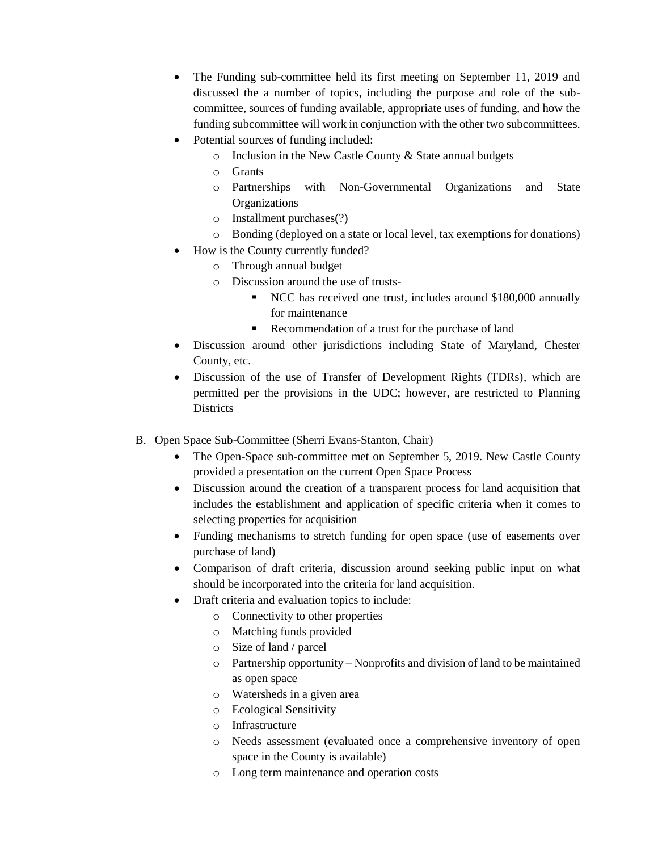- The Funding sub-committee held its first meeting on September 11, 2019 and discussed the a number of topics, including the purpose and role of the subcommittee, sources of funding available, appropriate uses of funding, and how the funding subcommittee will work in conjunction with the other two subcommittees.
- Potential sources of funding included:
	- o Inclusion in the New Castle County & State annual budgets
	- o Grants
	- o Partnerships with Non-Governmental Organizations and State **Organizations**
	- o Installment purchases(?)
	- o Bonding (deployed on a state or local level, tax exemptions for donations)
- How is the County currently funded?
	- o Through annual budget
	- o Discussion around the use of trusts-
		- NCC has received one trust, includes around \$180,000 annually for maintenance
		- Recommendation of a trust for the purchase of land
- Discussion around other jurisdictions including State of Maryland, Chester County, etc.
- Discussion of the use of Transfer of Development Rights (TDRs), which are permitted per the provisions in the UDC; however, are restricted to Planning **Districts**
- B. Open Space Sub-Committee (Sherri Evans-Stanton, Chair)
	- The Open-Space sub-committee met on September 5, 2019. New Castle County provided a presentation on the current Open Space Process
	- Discussion around the creation of a transparent process for land acquisition that includes the establishment and application of specific criteria when it comes to selecting properties for acquisition
	- Funding mechanisms to stretch funding for open space (use of easements over purchase of land)
	- Comparison of draft criteria, discussion around seeking public input on what should be incorporated into the criteria for land acquisition.
		- Draft criteria and evaluation topics to include:
			- o Connectivity to other properties
				- o Matching funds provided
				- o Size of land / parcel
				- o Partnership opportunity Nonprofits and division of land to be maintained as open space
				- o Watersheds in a given area
				- o Ecological Sensitivity
				- o Infrastructure
				- o Needs assessment (evaluated once a comprehensive inventory of open space in the County is available)
				- o Long term maintenance and operation costs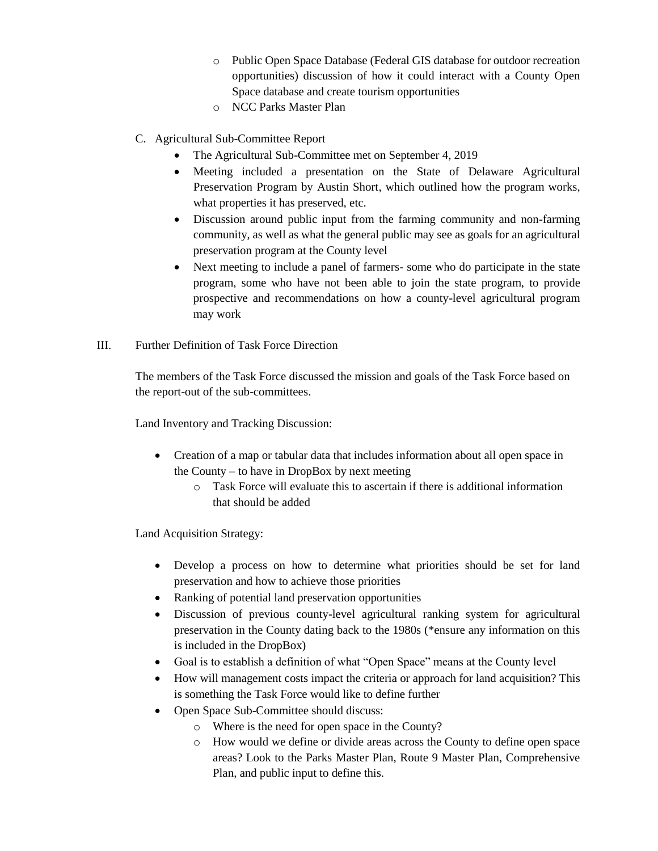- o Public Open Space Database (Federal GIS database for outdoor recreation opportunities) discussion of how it could interact with a County Open Space database and create tourism opportunities
- o NCC Parks Master Plan
- C. Agricultural Sub-Committee Report
	- The Agricultural Sub-Committee met on September 4, 2019
	- Meeting included a presentation on the State of Delaware Agricultural Preservation Program by Austin Short, which outlined how the program works, what properties it has preserved, etc.
	- Discussion around public input from the farming community and non-farming community, as well as what the general public may see as goals for an agricultural preservation program at the County level
	- Next meeting to include a panel of farmers- some who do participate in the state program, some who have not been able to join the state program, to provide prospective and recommendations on how a county-level agricultural program may work
- III. Further Definition of Task Force Direction

The members of the Task Force discussed the mission and goals of the Task Force based on the report-out of the sub-committees.

Land Inventory and Tracking Discussion:

- Creation of a map or tabular data that includes information about all open space in the County – to have in DropBox by next meeting
	- o Task Force will evaluate this to ascertain if there is additional information that should be added

Land Acquisition Strategy:

- Develop a process on how to determine what priorities should be set for land preservation and how to achieve those priorities
- Ranking of potential land preservation opportunities
- Discussion of previous county-level agricultural ranking system for agricultural preservation in the County dating back to the 1980s (\*ensure any information on this is included in the DropBox)
- Goal is to establish a definition of what "Open Space" means at the County level
- How will management costs impact the criteria or approach for land acquisition? This is something the Task Force would like to define further
- Open Space Sub-Committee should discuss:
	- o Where is the need for open space in the County?
	- o How would we define or divide areas across the County to define open space areas? Look to the Parks Master Plan, Route 9 Master Plan, Comprehensive Plan, and public input to define this.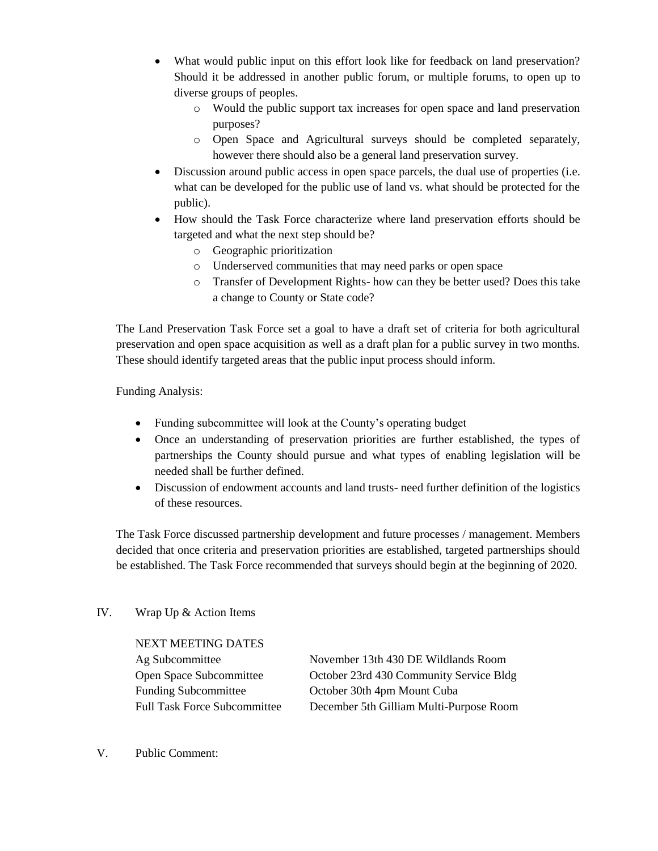- What would public input on this effort look like for feedback on land preservation? Should it be addressed in another public forum, or multiple forums, to open up to diverse groups of peoples.
	- o Would the public support tax increases for open space and land preservation purposes?
	- o Open Space and Agricultural surveys should be completed separately, however there should also be a general land preservation survey.
- Discussion around public access in open space parcels, the dual use of properties (i.e. what can be developed for the public use of land vs. what should be protected for the public).
- How should the Task Force characterize where land preservation efforts should be targeted and what the next step should be?
	- o Geographic prioritization
	- o Underserved communities that may need parks or open space
	- o Transfer of Development Rights- how can they be better used? Does this take a change to County or State code?

The Land Preservation Task Force set a goal to have a draft set of criteria for both agricultural preservation and open space acquisition as well as a draft plan for a public survey in two months. These should identify targeted areas that the public input process should inform.

Funding Analysis:

- Funding subcommittee will look at the County's operating budget
- Once an understanding of preservation priorities are further established, the types of partnerships the County should pursue and what types of enabling legislation will be needed shall be further defined.
- Discussion of endowment accounts and land trusts- need further definition of the logistics of these resources.

The Task Force discussed partnership development and future processes / management. Members decided that once criteria and preservation priorities are established, targeted partnerships should be established. The Task Force recommended that surveys should begin at the beginning of 2020.

## IV. Wrap Up & Action Items

NEXT MEETING DATES

Ag Subcommittee November 13th 430 DE Wildlands Room Open Space Subcommittee October 23rd 430 Community Service Bldg Funding Subcommittee October 30th 4pm Mount Cuba Full Task Force Subcommittee December 5th Gilliam Multi-Purpose Room

V. Public Comment: